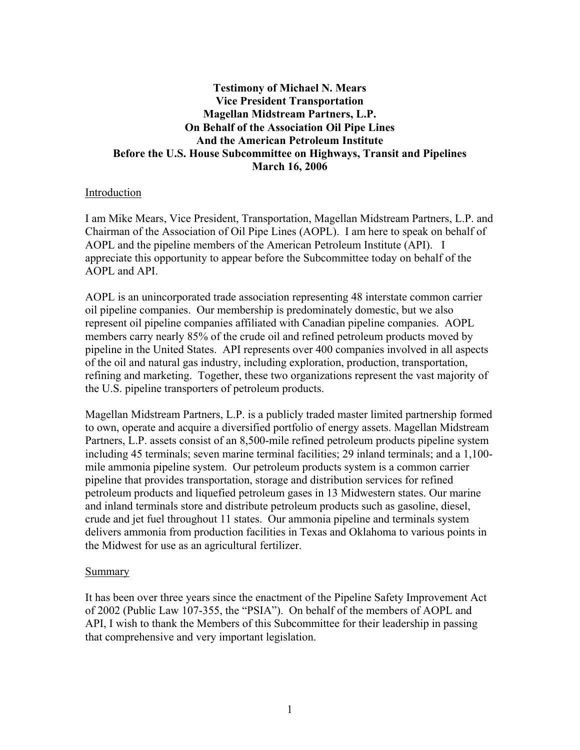# **Testimony of Michael N. Mears Vice President Transportation Magellan Midstream Partners, L.P. On Behalf of the Association Oil Pipe Lines And the American Petroleum Institute Before the U.S. House Subcommittee on Highways, Transit and Pipelines March 16, 2006**

### Introduction

I am Mike Mears, Vice President, Transportation, Magellan Midstream Partners, L.P. and Chairman of the Association of Oil Pipe Lines (AOPL). I am here to speak on behalf of AOPL and the pipeline members of the American Petroleum Institute (API). I appreciate this opportunity to appear before the Subcommittee today on behalf of the AOPL and API.

AOPL is an unincorporated trade association representing 48 interstate common carrier oil pipeline companies. Our membership is predominately domestic, but we also represent oil pipeline companies affiliated with Canadian pipeline companies. AOPL members carry nearly 85% of the crude oil and refined petroleum products moved by pipeline in the United States. API represents over 400 companies involved in all aspects of the oil and natural gas industry, including exploration, production, transportation, refining and marketing. Together, these two organizations represent the vast majority of the U.S. pipeline transporters of petroleum products.

Magellan Midstream Partners, L.P. is a publicly traded master limited partnership formed to own, operate and acquire a diversified portfolio of energy assets. Magellan Midstream Partners, L.P. assets consist of an 8,500-mile refined petroleum products pipeline system including 45 terminals; seven marine terminal facilities; 29 inland terminals; and a 1,100 mile ammonia pipeline system. Our petroleum products system is a common carrier pipeline that provides transportation, storage and distribution services for refined petroleum products and liquefied petroleum gases in 13 Midwestern states. Our marine and inland terminals store and distribute petroleum products such as gasoline, diesel, crude and jet fuel throughout 11 states. Our ammonia pipeline and terminals system delivers ammonia from production facilities in Texas and Oklahoma to various points in the Midwest for use as an agricultural fertilizer.

#### Summary

It has been over three years since the enactment of the Pipeline Safety Improvement Act of 2002 (Public Law 107-355, the "PSIA"). On behalf of the members of AOPL and API, I wish to thank the Members of this Subcommittee for their leadership in passing that comprehensive and very important legislation.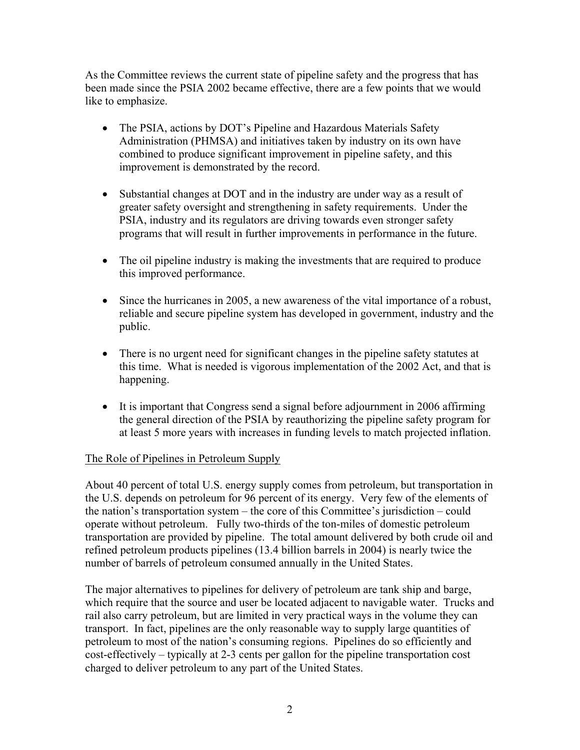As the Committee reviews the current state of pipeline safety and the progress that has been made since the PSIA 2002 became effective, there are a few points that we would like to emphasize.

- The PSIA, actions by DOT's Pipeline and Hazardous Materials Safety Administration (PHMSA) and initiatives taken by industry on its own have combined to produce significant improvement in pipeline safety, and this improvement is demonstrated by the record.
- Substantial changes at DOT and in the industry are under way as a result of greater safety oversight and strengthening in safety requirements. Under the PSIA, industry and its regulators are driving towards even stronger safety programs that will result in further improvements in performance in the future.
- The oil pipeline industry is making the investments that are required to produce this improved performance.
- Since the hurricanes in 2005, a new awareness of the vital importance of a robust, reliable and secure pipeline system has developed in government, industry and the public.
- There is no urgent need for significant changes in the pipeline safety statutes at this time. What is needed is vigorous implementation of the 2002 Act, and that is happening.
- It is important that Congress send a signal before adjournment in 2006 affirming the general direction of the PSIA by reauthorizing the pipeline safety program for at least 5 more years with increases in funding levels to match projected inflation.

## The Role of Pipelines in Petroleum Supply

About 40 percent of total U.S. energy supply comes from petroleum, but transportation in the U.S. depends on petroleum for 96 percent of its energy. Very few of the elements of the nation's transportation system – the core of this Committee's jurisdiction – could operate without petroleum. Fully two-thirds of the ton-miles of domestic petroleum transportation are provided by pipeline. The total amount delivered by both crude oil and refined petroleum products pipelines (13.4 billion barrels in 2004) is nearly twice the number of barrels of petroleum consumed annually in the United States.

The major alternatives to pipelines for delivery of petroleum are tank ship and barge, which require that the source and user be located adjacent to navigable water. Trucks and rail also carry petroleum, but are limited in very practical ways in the volume they can transport. In fact, pipelines are the only reasonable way to supply large quantities of petroleum to most of the nation's consuming regions. Pipelines do so efficiently and cost-effectively – typically at 2-3 cents per gallon for the pipeline transportation cost charged to deliver petroleum to any part of the United States.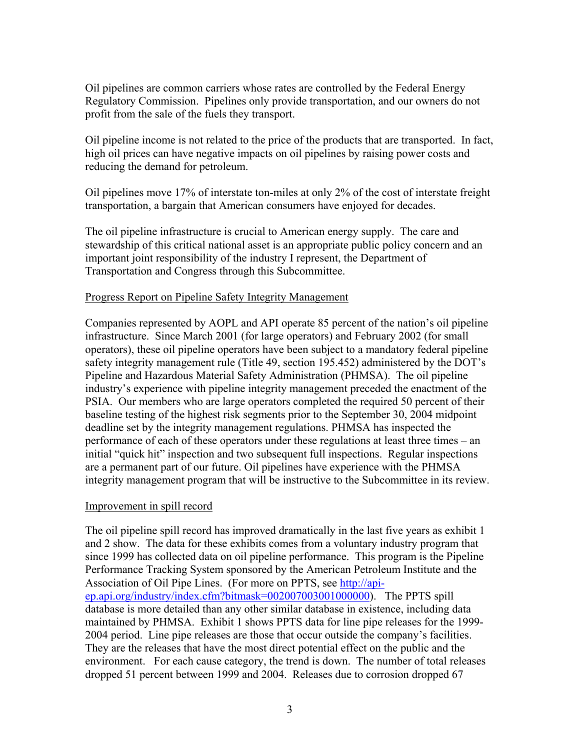Oil pipelines are common carriers whose rates are controlled by the Federal Energy Regulatory Commission. Pipelines only provide transportation, and our owners do not profit from the sale of the fuels they transport.

Oil pipeline income is not related to the price of the products that are transported. In fact, high oil prices can have negative impacts on oil pipelines by raising power costs and reducing the demand for petroleum.

Oil pipelines move 17% of interstate ton-miles at only 2% of the cost of interstate freight transportation, a bargain that American consumers have enjoyed for decades.

The oil pipeline infrastructure is crucial to American energy supply. The care and stewardship of this critical national asset is an appropriate public policy concern and an important joint responsibility of the industry I represent, the Department of Transportation and Congress through this Subcommittee.

### Progress Report on Pipeline Safety Integrity Management

Companies represented by AOPL and API operate 85 percent of the nation's oil pipeline infrastructure. Since March 2001 (for large operators) and February 2002 (for small operators), these oil pipeline operators have been subject to a mandatory federal pipeline safety integrity management rule (Title 49, section 195.452) administered by the DOT's Pipeline and Hazardous Material Safety Administration (PHMSA). The oil pipeline industry's experience with pipeline integrity management preceded the enactment of the PSIA. Our members who are large operators completed the required 50 percent of their baseline testing of the highest risk segments prior to the September 30, 2004 midpoint deadline set by the integrity management regulations. PHMSA has inspected the performance of each of these operators under these regulations at least three times – an initial "quick hit" inspection and two subsequent full inspections. Regular inspections are a permanent part of our future. Oil pipelines have experience with the PHMSA integrity management program that will be instructive to the Subcommittee in its review.

### Improvement in spill record

The oil pipeline spill record has improved dramatically in the last five years as exhibit 1 and 2 show. The data for these exhibits comes from a voluntary industry program that since 1999 has collected data on oil pipeline performance. This program is the Pipeline Performance Tracking System sponsored by the American Petroleum Institute and the Association of Oil Pipe Lines. (For more on PPTS, see http://apiep.api.org/industry/index.cfm?bitmask=002007003001000000). The PPTS spill database is more detailed than any other similar database in existence, including data maintained by PHMSA. Exhibit 1 shows PPTS data for line pipe releases for the 1999- 2004 period. Line pipe releases are those that occur outside the company's facilities. They are the releases that have the most direct potential effect on the public and the environment. For each cause category, the trend is down. The number of total releases dropped 51 percent between 1999 and 2004. Releases due to corrosion dropped 67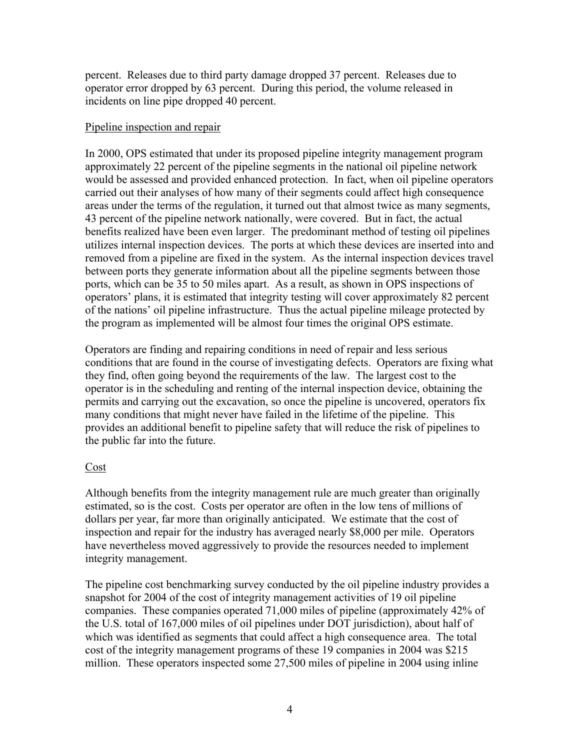percent. Releases due to third party damage dropped 37 percent. Releases due to operator error dropped by 63 percent. During this period, the volume released in incidents on line pipe dropped 40 percent.

### Pipeline inspection and repair

In 2000, OPS estimated that under its proposed pipeline integrity management program approximately 22 percent of the pipeline segments in the national oil pipeline network would be assessed and provided enhanced protection. In fact, when oil pipeline operators carried out their analyses of how many of their segments could affect high consequence areas under the terms of the regulation, it turned out that almost twice as many segments, 43 percent of the pipeline network nationally, were covered. But in fact, the actual benefits realized have been even larger. The predominant method of testing oil pipelines utilizes internal inspection devices. The ports at which these devices are inserted into and removed from a pipeline are fixed in the system. As the internal inspection devices travel between ports they generate information about all the pipeline segments between those ports, which can be 35 to 50 miles apart. As a result, as shown in OPS inspections of operators' plans, it is estimated that integrity testing will cover approximately 82 percent of the nations' oil pipeline infrastructure. Thus the actual pipeline mileage protected by the program as implemented will be almost four times the original OPS estimate.

Operators are finding and repairing conditions in need of repair and less serious conditions that are found in the course of investigating defects. Operators are fixing what they find, often going beyond the requirements of the law. The largest cost to the operator is in the scheduling and renting of the internal inspection device, obtaining the permits and carrying out the excavation, so once the pipeline is uncovered, operators fix many conditions that might never have failed in the lifetime of the pipeline. This provides an additional benefit to pipeline safety that will reduce the risk of pipelines to the public far into the future.

## Cost

Although benefits from the integrity management rule are much greater than originally estimated, so is the cost. Costs per operator are often in the low tens of millions of dollars per year, far more than originally anticipated. We estimate that the cost of inspection and repair for the industry has averaged nearly \$8,000 per mile. Operators have nevertheless moved aggressively to provide the resources needed to implement integrity management.

The pipeline cost benchmarking survey conducted by the oil pipeline industry provides a snapshot for 2004 of the cost of integrity management activities of 19 oil pipeline companies. These companies operated 71,000 miles of pipeline (approximately 42% of the U.S. total of 167,000 miles of oil pipelines under DOT jurisdiction), about half of which was identified as segments that could affect a high consequence area. The total cost of the integrity management programs of these 19 companies in 2004 was \$215 million. These operators inspected some 27,500 miles of pipeline in 2004 using inline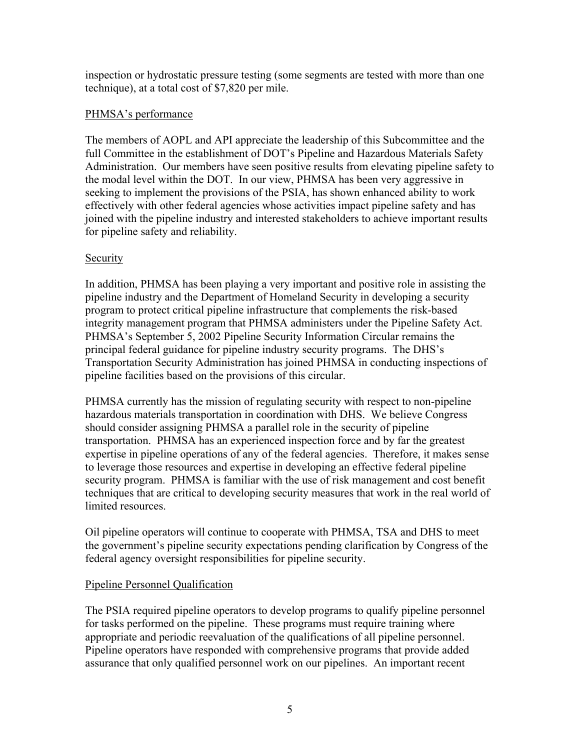inspection or hydrostatic pressure testing (some segments are tested with more than one technique), at a total cost of \$7,820 per mile.

## PHMSA's performance

The members of AOPL and API appreciate the leadership of this Subcommittee and the full Committee in the establishment of DOT's Pipeline and Hazardous Materials Safety Administration. Our members have seen positive results from elevating pipeline safety to the modal level within the DOT. In our view, PHMSA has been very aggressive in seeking to implement the provisions of the PSIA, has shown enhanced ability to work effectively with other federal agencies whose activities impact pipeline safety and has joined with the pipeline industry and interested stakeholders to achieve important results for pipeline safety and reliability.

## Security

In addition, PHMSA has been playing a very important and positive role in assisting the pipeline industry and the Department of Homeland Security in developing a security program to protect critical pipeline infrastructure that complements the risk-based integrity management program that PHMSA administers under the Pipeline Safety Act. PHMSA's September 5, 2002 Pipeline Security Information Circular remains the principal federal guidance for pipeline industry security programs. The DHS's Transportation Security Administration has joined PHMSA in conducting inspections of pipeline facilities based on the provisions of this circular.

PHMSA currently has the mission of regulating security with respect to non-pipeline hazardous materials transportation in coordination with DHS. We believe Congress should consider assigning PHMSA a parallel role in the security of pipeline transportation. PHMSA has an experienced inspection force and by far the greatest expertise in pipeline operations of any of the federal agencies. Therefore, it makes sense to leverage those resources and expertise in developing an effective federal pipeline security program. PHMSA is familiar with the use of risk management and cost benefit techniques that are critical to developing security measures that work in the real world of limited resources.

Oil pipeline operators will continue to cooperate with PHMSA, TSA and DHS to meet the government's pipeline security expectations pending clarification by Congress of the federal agency oversight responsibilities for pipeline security.

## Pipeline Personnel Qualification

The PSIA required pipeline operators to develop programs to qualify pipeline personnel for tasks performed on the pipeline. These programs must require training where appropriate and periodic reevaluation of the qualifications of all pipeline personnel. Pipeline operators have responded with comprehensive programs that provide added assurance that only qualified personnel work on our pipelines. An important recent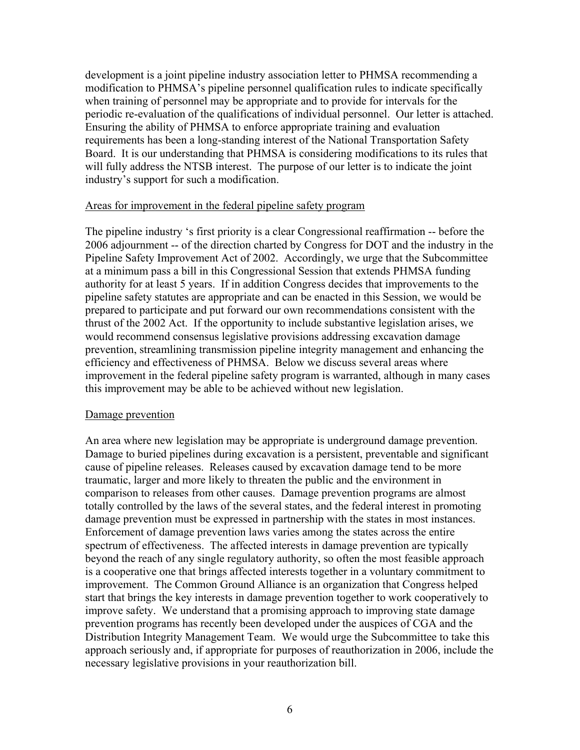development is a joint pipeline industry association letter to PHMSA recommending a modification to PHMSA's pipeline personnel qualification rules to indicate specifically when training of personnel may be appropriate and to provide for intervals for the periodic re-evaluation of the qualifications of individual personnel. Our letter is attached. Ensuring the ability of PHMSA to enforce appropriate training and evaluation requirements has been a long-standing interest of the National Transportation Safety Board. It is our understanding that PHMSA is considering modifications to its rules that will fully address the NTSB interest. The purpose of our letter is to indicate the joint industry's support for such a modification.

#### Areas for improvement in the federal pipeline safety program

The pipeline industry 's first priority is a clear Congressional reaffirmation -- before the 2006 adjournment -- of the direction charted by Congress for DOT and the industry in the Pipeline Safety Improvement Act of 2002. Accordingly, we urge that the Subcommittee at a minimum pass a bill in this Congressional Session that extends PHMSA funding authority for at least 5 years. If in addition Congress decides that improvements to the pipeline safety statutes are appropriate and can be enacted in this Session, we would be prepared to participate and put forward our own recommendations consistent with the thrust of the 2002 Act. If the opportunity to include substantive legislation arises, we would recommend consensus legislative provisions addressing excavation damage prevention, streamlining transmission pipeline integrity management and enhancing the efficiency and effectiveness of PHMSA. Below we discuss several areas where improvement in the federal pipeline safety program is warranted, although in many cases this improvement may be able to be achieved without new legislation.

### Damage prevention

An area where new legislation may be appropriate is underground damage prevention. Damage to buried pipelines during excavation is a persistent, preventable and significant cause of pipeline releases. Releases caused by excavation damage tend to be more traumatic, larger and more likely to threaten the public and the environment in comparison to releases from other causes. Damage prevention programs are almost totally controlled by the laws of the several states, and the federal interest in promoting damage prevention must be expressed in partnership with the states in most instances. Enforcement of damage prevention laws varies among the states across the entire spectrum of effectiveness. The affected interests in damage prevention are typically beyond the reach of any single regulatory authority, so often the most feasible approach is a cooperative one that brings affected interests together in a voluntary commitment to improvement. The Common Ground Alliance is an organization that Congress helped start that brings the key interests in damage prevention together to work cooperatively to improve safety. We understand that a promising approach to improving state damage prevention programs has recently been developed under the auspices of CGA and the Distribution Integrity Management Team. We would urge the Subcommittee to take this approach seriously and, if appropriate for purposes of reauthorization in 2006, include the necessary legislative provisions in your reauthorization bill.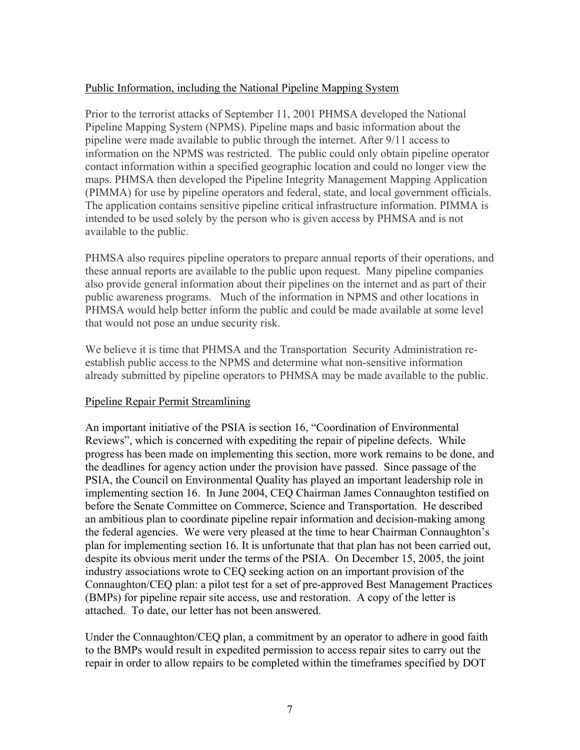### Public Information, including the National Pipeline Mapping System

Prior to the terrorist attacks of September 11, 2001 PHMSA developed the National Pipeline Mapping System (NPMS). Pipeline maps and basic information about the pipeline were made available to public through the internet. After 9/11 access to information on the NPMS was restricted. The public could only obtain pipeline operator contact information within a specified geographic location and could no longer view the maps. PHMSA then developed the Pipeline Integrity Management Mapping Application (PIMMA) for use by pipeline operators and federal, state, and local government officials. The application contains sensitive pipeline critical infrastructure information. PIMMA is intended to be used solely by the person who is given access by PHMSA and is not available to the public.

PHMSA also requires pipeline operators to prepare annual reports of their operations, and these annual reports are available to the public upon request. Many pipeline companies also provide general information about their pipelines on the internet and as part of their public awareness programs. Much of the information in NPMS and other locations in PHMSA would help better inform the public and could be made available at some level that would not pose an undue security risk.

We believe it is time that PHMSA and the Transportation Security Administration reestablish public access to the NPMS and determine what non-sensitive information already submitted by pipeline operators to PHMSA may be made available to the public.

## Pipeline Repair Permit Streamlining

An important initiative of the PSIA is section 16, "Coordination of Environmental Reviews", which is concerned with expediting the repair of pipeline defects. While progress has been made on implementing this section, more work remains to be done, and the deadlines for agency action under the provision have passed. Since passage of the PSIA, the Council on Environmental Quality has played an important leadership role in implementing section 16. In June 2004, CEQ Chairman James Connaughton testified on before the Senate Committee on Commerce, Science and Transportation. He described an ambitious plan to coordinate pipeline repair information and decision-making among the federal agencies. We were very pleased at the time to hear Chairman Connaughton's plan for implementing section 16. It is unfortunate that that plan has not been carried out, despite its obvious merit under the terms of the PSIA. On December 15, 2005, the joint industry associations wrote to CEQ seeking action on an important provision of the Connaughton/CEQ plan: a pilot test for a set of pre-approved Best Management Practices (BMPs) for pipeline repair site access, use and restoration. A copy of the letter is attached. To date, our letter has not been answered.

Under the Connaughton/CEQ plan, a commitment by an operator to adhere in good faith to the BMPs would result in expedited permission to access repair sites to carry out the repair in order to allow repairs to be completed within the timeframes specified by DOT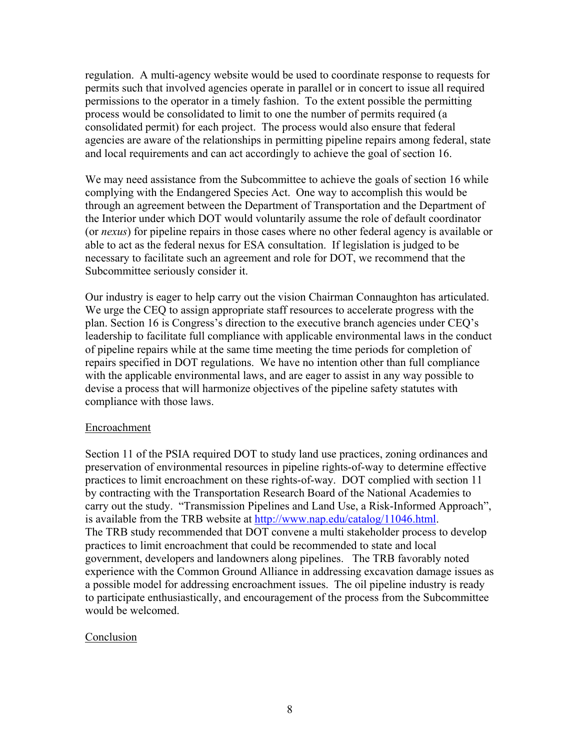regulation. A multi-agency website would be used to coordinate response to requests for permits such that involved agencies operate in parallel or in concert to issue all required permissions to the operator in a timely fashion. To the extent possible the permitting process would be consolidated to limit to one the number of permits required (a consolidated permit) for each project. The process would also ensure that federal agencies are aware of the relationships in permitting pipeline repairs among federal, state and local requirements and can act accordingly to achieve the goal of section 16.

We may need assistance from the Subcommittee to achieve the goals of section 16 while complying with the Endangered Species Act. One way to accomplish this would be through an agreement between the Department of Transportation and the Department of the Interior under which DOT would voluntarily assume the role of default coordinator (or *nexus*) for pipeline repairs in those cases where no other federal agency is available or able to act as the federal nexus for ESA consultation. If legislation is judged to be necessary to facilitate such an agreement and role for DOT, we recommend that the Subcommittee seriously consider it.

Our industry is eager to help carry out the vision Chairman Connaughton has articulated. We urge the CEQ to assign appropriate staff resources to accelerate progress with the plan. Section 16 is Congress's direction to the executive branch agencies under CEQ's leadership to facilitate full compliance with applicable environmental laws in the conduct of pipeline repairs while at the same time meeting the time periods for completion of repairs specified in DOT regulations. We have no intention other than full compliance with the applicable environmental laws, and are eager to assist in any way possible to devise a process that will harmonize objectives of the pipeline safety statutes with compliance with those laws.

### Encroachment

Section 11 of the PSIA required DOT to study land use practices, zoning ordinances and preservation of environmental resources in pipeline rights-of-way to determine effective practices to limit encroachment on these rights-of-way. DOT complied with section 11 by contracting with the Transportation Research Board of the National Academies to carry out the study. "Transmission Pipelines and Land Use, a Risk-Informed Approach", is available from the TRB website at http://www.nap.edu/catalog/11046.html. The TRB study recommended that DOT convene a multi stakeholder process to develop practices to limit encroachment that could be recommended to state and local government, developers and landowners along pipelines. The TRB favorably noted experience with the Common Ground Alliance in addressing excavation damage issues as a possible model for addressing encroachment issues. The oil pipeline industry is ready to participate enthusiastically, and encouragement of the process from the Subcommittee would be welcomed.

### Conclusion